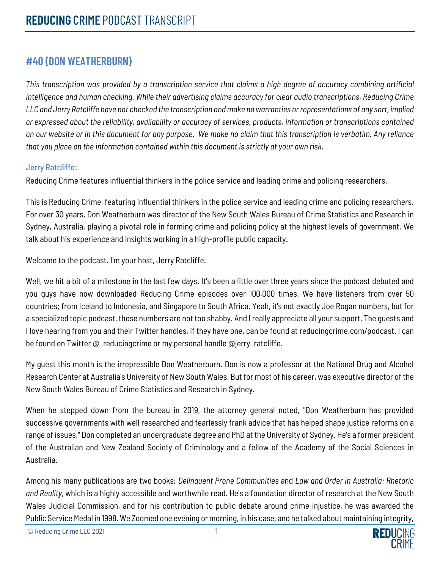## **#40 (DON WEATHERBURN)**

*This transcription was provided by a transcription service that claims a high degree of accuracy combining artificial intelligence and human checking. While their advertising claims accuracy for clear audio transcriptions, Reducing Crime LLC and Jerry Ratcliffe have not checked the transcription and make no warranties or representations of any sort, implied or expressed about the reliability, availability or accuracy of services, products, information or transcriptions contained on our website or in this document for any purpose. We make no claim that this transcription is verbatim. Any reliance that you place on the information contained within this document is strictly at your own risk.*

## Jerry Ratcliffe:

Reducing Crime features influential thinkers in the police service and leading crime and policing researchers.

This is Reducing Crime, featuring influential thinkers in the police service and leading crime and policing researchers. For over 30 years, Don Weatherburn was director of the New South Wales Bureau of Crime Statistics and Research in Sydney, Australia. playing a pivotal role in forming crime and policing policy at the highest levels of government. We talk about his experience and insights working in a high-profile public capacity.

Welcome to the podcast. I'm your host, Jerry Ratcliffe.

Well, we hit a bit of a milestone in the last few days. It's been a little over three years since the podcast debuted and you guys have now downloaded Reducing Crime episodes over 100,000 times. We have listeners from over 50 countries; from Iceland to Indonesia, and Singapore to South Africa. Yeah, it's not exactly Joe Rogan numbers, but for a specialized topic podcast, those numbers are not too shabby. And I really appreciate all your support. The guests and I love hearing from you and their Twitter handles, if they have one, can be found at reducingcrime.com/podcast. I can be found on Twitter @\_reducingcrime or my personal handle @jerry\_ratcliffe.

My guest this month is the irrepressible Don Weatherburn. Don is now a professor at the National Drug and Alcohol Research Center at Australia's University of New South Wales. But for most of his career, was executive director of the New South Wales Bureau of Crime Statistics and Research in Sydney.

When he stepped down from the bureau in 2019, the attorney general noted, "Don Weatherburn has provided successive governments with well researched and fearlessly frank advice that has helped shape justice reforms on a range of issues." Don completed an undergraduate degree and PhD at the University of Sydney. He's a former president of the Australian and New Zealand Society of Criminology and a fellow of the Academy of the Social Sciences in Australia.

Among his many publications are two books; *Delinquent Prone Communities* and *Law and Order in Australia: Rhetoric and Reality*, which is a highly accessible and worthwhile read. He's a foundation director of research at the New South Wales Judicial Commission, and for his contribution to public debate around crime injustice, he was awarded the Public Service Medal in 1998. We Zoomed one evening or morning, in his case, and he talked about maintaining integrity,

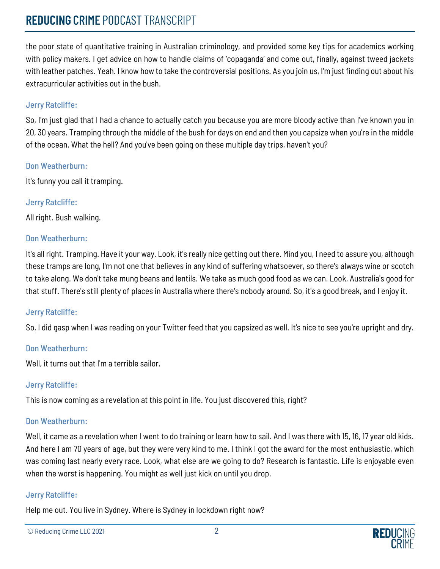# **REDUCING** CRIME PODCAST TRANSCRIPT

the poor state of quantitative training in Australian criminology, and provided some key tips for academics working with policy makers. I get advice on how to handle claims of 'copaganda' and come out, finally, against tweed jackets with leather patches. Yeah. I know how to take the controversial positions. As you join us, I'm just finding out about his extracurricular activities out in the bush.

## Jerry Ratcliffe:

So, I'm just glad that I had a chance to actually catch you because you are more bloody active than I've known you in 20, 30 years. Tramping through the middle of the bush for days on end and then you capsize when you're in the middle of the ocean. What the hell? And you've been going on these multiple day trips, haven't you?

#### Don Weatherburn:

It's funny you call it tramping.

Jerry Ratcliffe: All right. Bush walking.

## Don Weatherburn:

It's all right. Tramping. Have it your way. Look, it's really nice getting out there. Mind you, I need to assure you, although these tramps are long, I'm not one that believes in any kind of suffering whatsoever, so there's always wine or scotch to take along. We don't take mung beans and lentils. We take as much good food as we can. Look, Australia's good for that stuff. There's still plenty of places in Australia where there's nobody around. So, it's a good break, and I enjoy it.

## Jerry Ratcliffe:

So, I did gasp when I was reading on your Twitter feed that you capsized as well. It's nice to see you're upright and dry.

## Don Weatherburn:

Well, it turns out that I'm a terrible sailor.

## Jerry Ratcliffe:

This is now coming as a revelation at this point in life. You just discovered this, right?

## Don Weatherburn:

Well, it came as a revelation when I went to do training or learn how to sail. And I was there with 15, 16, 17 year old kids. And here I am 70 years of age, but they were very kind to me. I think I got the award for the most enthusiastic, which was coming last nearly every race. Look, what else are we going to do? Research is fantastic. Life is enjoyable even when the worst is happening. You might as well just kick on until you drop.

## Jerry Ratcliffe:

Help me out. You live in Sydney. Where is Sydney in lockdown right now?

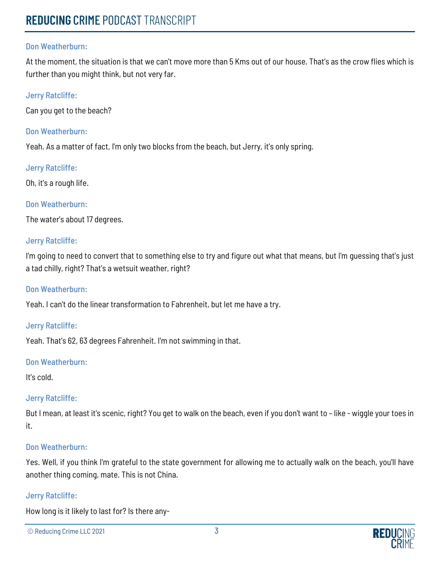At the moment, the situation is that we can't move more than 5 Kms out of our house. That's as the crow flies which is further than you might think, but not very far.

#### Jerry Ratcliffe:

Can you get to the beach?

#### Don Weatherburn:

Yeah. As a matter of fact, I'm only two blocks from the beach, but Jerry, it's only spring.

#### Jerry Ratcliffe:

Oh, it's a rough life.

#### Don Weatherburn:

The water's about 17 degrees.

#### Jerry Ratcliffe:

I'm going to need to convert that to something else to try and figure out what that means, but I'm guessing that's just a tad chilly, right? That's a wetsuit weather, right?

#### Don Weatherburn:

Yeah. I can't do the linear transformation to Fahrenheit, but let me have a try.

#### Jerry Ratcliffe:

Yeah. That's 62, 63 degrees Fahrenheit. I'm not swimming in that.

#### Don Weatherburn:

It's cold.

#### Jerry Ratcliffe:

But I mean, at least it's scenic, right? You get to walk on the beach, even if you don't want to – like - wiggle your toes in it.

#### Don Weatherburn:

Yes. Well, if you think I'm grateful to the state government for allowing me to actually walk on the beach, you'll have another thing coming, mate. This is not China.

#### Jerry Ratcliffe:

How long is it likely to last for? Is there any-

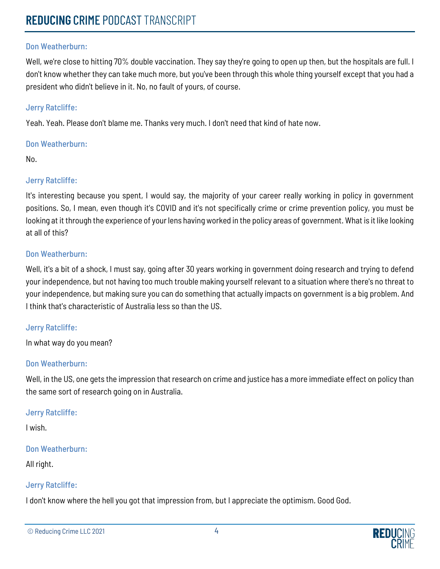Well, we're close to hitting 70% double vaccination. They say they're going to open up then, but the hospitals are full. I don't know whether they can take much more, but you've been through this whole thing yourself except that you had a president who didn't believe in it. No, no fault of yours, of course.

#### Jerry Ratcliffe:

Yeah. Yeah. Please don't blame me. Thanks very much. I don't need that kind of hate now.

#### Don Weatherburn:

No.

### Jerry Ratcliffe:

It's interesting because you spent, I would say, the majority of your career really working in policy in government positions. So, I mean, even though it's COVID and it's not specifically crime or crime prevention policy, you must be looking at it through the experience of your lens having worked in the policy areas of government. What is it like looking at all of this?

#### Don Weatherburn:

Well, it's a bit of a shock, I must say, going after 30 years working in government doing research and trying to defend your independence, but not having too much trouble making yourself relevant to a situation where there's no threat to your independence, but making sure you can do something that actually impacts on government is a big problem. And I think that's characteristic of Australia less so than the US.

#### Jerry Ratcliffe:

In what way do you mean?

#### Don Weatherburn:

Well, in the US, one gets the impression that research on crime and justice has a more immediate effect on policy than the same sort of research going on in Australia.

#### Jerry Ratcliffe:

I wish.

#### Don Weatherburn:

All right.

#### Jerry Ratcliffe:

I don't know where the hell you got that impression from, but I appreciate the optimism. Good God.

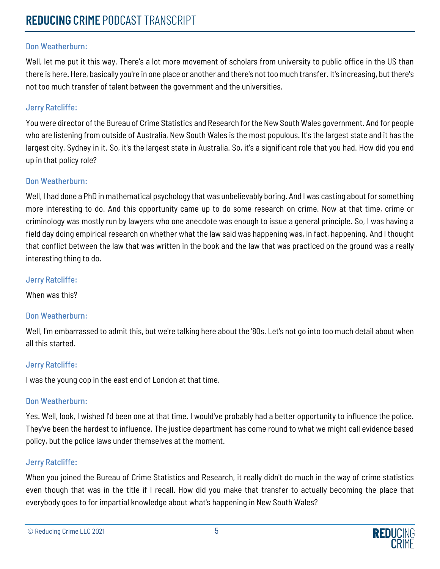Well, let me put it this way. There's a lot more movement of scholars from university to public office in the US than there is here. Here, basically you're in one place or another and there's not too much transfer. It's increasing, but there's not too much transfer of talent between the government and the universities.

## Jerry Ratcliffe:

You were director of the Bureau of Crime Statistics and Research for the New South Wales government. And for people who are listening from outside of Australia, New South Wales is the most populous. It's the largest state and it has the largest city. Sydney in it. So, it's the largest state in Australia. So, it's a significant role that you had. How did you end up in that policy role?

### Don Weatherburn:

Well, I had done a PhD in mathematical psychology that was unbelievably boring. And I was casting about for something more interesting to do. And this opportunity came up to do some research on crime. Now at that time, crime or criminology was mostly run by lawyers who one anecdote was enough to issue a general principle. So, I was having a field day doing empirical research on whether what the law said was happening was, in fact, happening. And I thought that conflict between the law that was written in the book and the law that was practiced on the ground was a really interesting thing to do.

### Jerry Ratcliffe:

When was this?

## Don Weatherburn:

Well, I'm embarrassed to admit this, but we're talking here about the '80s. Let's not go into too much detail about when all this started.

## Jerry Ratcliffe:

I was the young cop in the east end of London at that time.

## Don Weatherburn:

Yes. Well, look, I wished I'd been one at that time. I would've probably had a better opportunity to influence the police. They've been the hardest to influence. The justice department has come round to what we might call evidence based policy, but the police laws under themselves at the moment.

## Jerry Ratcliffe:

When you joined the Bureau of Crime Statistics and Research, it really didn't do much in the way of crime statistics even though that was in the title if I recall. How did you make that transfer to actually becoming the place that everybody goes to for impartial knowledge about what's happening in New South Wales?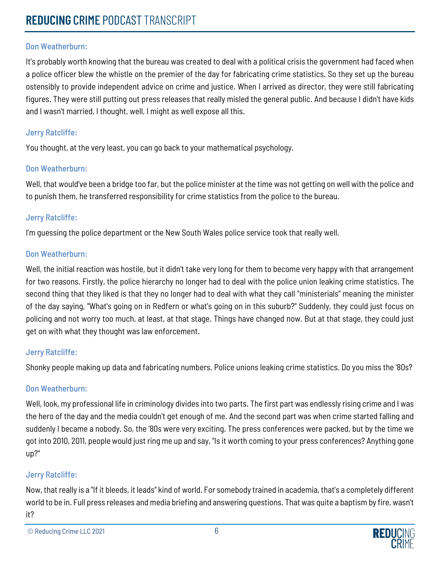It's probably worth knowing that the bureau was created to deal with a political crisis the government had faced when a police officer blew the whistle on the premier of the day for fabricating crime statistics. So they set up the bureau ostensibly to provide independent advice on crime and justice. When I arrived as director, they were still fabricating figures. They were still putting out press releases that really misled the general public. And because I didn't have kids and I wasn't married, I thought, well, I might as well expose all this.

#### Jerry Ratcliffe:

You thought, at the very least, you can go back to your mathematical psychology.

#### Don Weatherburn:

Well, that would've been a bridge too far, but the police minister at the time was not getting on well with the police and to punish them, he transferred responsibility for crime statistics from the police to the bureau.

### Jerry Ratcliffe:

I'm guessing the police department or the New South Wales police service took that really well.

### Don Weatherburn:

Well, the initial reaction was hostile, but it didn't take very long for them to become very happy with that arrangement for two reasons. Firstly, the police hierarchy no longer had to deal with the police union leaking crime statistics. The second thing that they liked is that they no longer had to deal with what they call "ministerials" meaning the minister of the day saying, "What's going on in Redfern or what's going on in this suburb?" Suddenly, they could just focus on policing and not worry too much, at least, at that stage. Things have changed now. But at that stage, they could just get on with what they thought was law enforcement.

## Jerry Ratcliffe:

Shonky people making up data and fabricating numbers. Police unions leaking crime statistics. Do you miss the '80s?

## Don Weatherburn:

Well, look, my professional life in criminology divides into two parts. The first part was endlessly rising crime and I was the hero of the day and the media couldn't get enough of me. And the second part was when crime started falling and suddenly I became a nobody. So, the '80s were very exciting. The press conferences were packed, but by the time we got into 2010, 2011, people would just ring me up and say, "Is it worth coming to your press conferences? Anything gone up?"

## Jerry Ratcliffe:

Now, that really is a "If it bleeds, it leads" kind of world. For somebody trained in academia, that's a completely different world to be in. Full press releases and media briefing and answering questions. That was quite a baptism by fire, wasn't it?

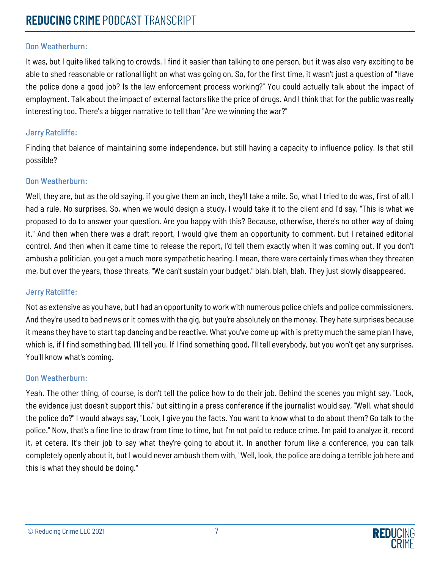It was, but I quite liked talking to crowds. I find it easier than talking to one person, but it was also very exciting to be able to shed reasonable or rational light on what was going on. So, for the first time, it wasn't just a question of "Have the police done a good job? Is the law enforcement process working?" You could actually talk about the impact of employment. Talk about the impact of external factors like the price of drugs. And I think that for the public was really interesting too. There's a bigger narrative to tell than "Are we winning the war?"

#### Jerry Ratcliffe:

Finding that balance of maintaining some independence, but still having a capacity to influence policy. Is that still possible?

#### Don Weatherburn:

Well, they are, but as the old saying, if you give them an inch, they'll take a mile. So, what I tried to do was, first of all, I had a rule. No surprises. So, when we would design a study, I would take it to the client and I'd say, "This is what we proposed to do to answer your question. Are you happy with this? Because, otherwise, there's no other way of doing it." And then when there was a draft report, I would give them an opportunity to comment, but I retained editorial control. And then when it came time to release the report, I'd tell them exactly when it was coming out. If you don't ambush a politician, you get a much more sympathetic hearing. I mean, there were certainly times when they threaten me, but over the years, those threats, "We can't sustain your budget," blah, blah, blah. They just slowly disappeared.

#### Jerry Ratcliffe:

Not as extensive as you have, but I had an opportunity to work with numerous police chiefs and police commissioners. And they're used to bad news or it comes with the gig, but you're absolutely on the money. They hate surprises because it means they have to start tap dancing and be reactive. What you've come up with is pretty much the same plan I have, which is, if I find something bad, I'll tell you. If I find something good, I'll tell everybody, but you won't get any surprises. You'll know what's coming.

#### Don Weatherburn:

Yeah. The other thing, of course, is don't tell the police how to do their job. Behind the scenes you might say, "Look, the evidence just doesn't support this," but sitting in a press conference if the journalist would say, "Well, what should the police do?" I would always say, "Look, I give you the facts. You want to know what to do about them? Go talk to the police." Now, that's a fine line to draw from time to time, but I'm not paid to reduce crime. I'm paid to analyze it, record it, et cetera. It's their job to say what they're going to about it. In another forum like a conference, you can talk completely openly about it, but I would never ambush them with, "Well, look, the police are doing a terrible job here and this is what they should be doing."

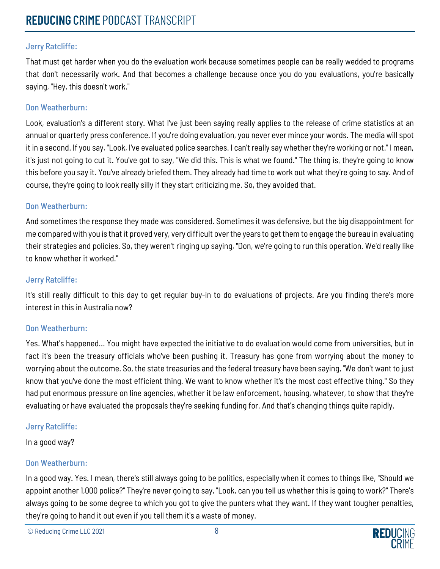That must get harder when you do the evaluation work because sometimes people can be really wedded to programs that don't necessarily work. And that becomes a challenge because once you do you evaluations, you're basically saying, "Hey, this doesn't work."

#### Don Weatherburn:

Look, evaluation's a different story. What I've just been saying really applies to the release of crime statistics at an annual or quarterly press conference. If you're doing evaluation, you never ever mince your words. The media will spot it in a second. If you say, "Look, I've evaluated police searches. I can't really say whether they're working or not." I mean, it's just not going to cut it. You've got to say, "We did this. This is what we found." The thing is, they're going to know this before you say it. You've already briefed them. They already had time to work out what they're going to say. And of course, they're going to look really silly if they start criticizing me. So, they avoided that.

#### Don Weatherburn:

And sometimes the response they made was considered. Sometimes it was defensive, but the big disappointment for me compared with you is that it proved very, very difficult over the years to get them to engage the bureau in evaluating their strategies and policies. So, they weren't ringing up saying, "Don, we're going to run this operation. We'd really like to know whether it worked."

#### Jerry Ratcliffe:

It's still really difficult to this day to get regular buy-in to do evaluations of projects. Are you finding there's more interest in this in Australia now?

#### Don Weatherburn:

Yes. What's happened... You might have expected the initiative to do evaluation would come from universities, but in fact it's been the treasury officials who've been pushing it. Treasury has gone from worrying about the money to worrying about the outcome. So, the state treasuries and the federal treasury have been saying, "We don't want to just know that you've done the most efficient thing. We want to know whether it's the most cost effective thing." So they had put enormous pressure on line agencies, whether it be law enforcement, housing, whatever, to show that they're evaluating or have evaluated the proposals they're seeking funding for. And that's changing things quite rapidly.

#### Jerry Ratcliffe:

In a good way?

#### Don Weatherburn:

In a good way. Yes. I mean, there's still always going to be politics, especially when it comes to things like, "Should we appoint another 1,000 police?" They're never going to say, "Look, can you tell us whether this is going to work?" There's always going to be some degree to which you got to give the punters what they want. If they want tougher penalties, they're going to hand it out even if you tell them it's a waste of money.

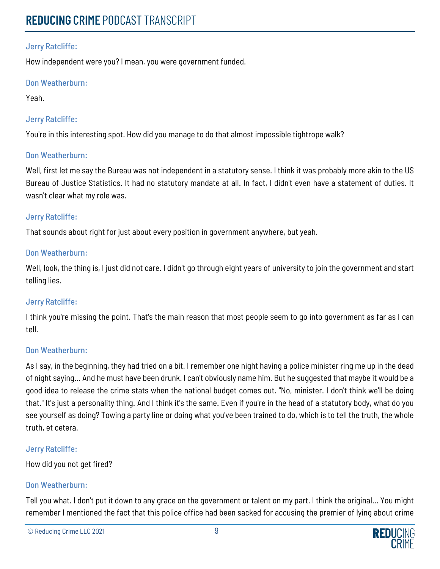How independent were you? I mean, you were government funded.

### Don Weatherburn:

Yeah.

## Jerry Ratcliffe:

You're in this interesting spot. How did you manage to do that almost impossible tightrope walk?

#### Don Weatherburn:

Well, first let me say the Bureau was not independent in a statutory sense. I think it was probably more akin to the US Bureau of Justice Statistics. It had no statutory mandate at all. In fact, I didn't even have a statement of duties. It wasn't clear what my role was.

#### Jerry Ratcliffe:

That sounds about right for just about every position in government anywhere, but yeah.

### Don Weatherburn:

Well, look, the thing is, I just did not care. I didn't go through eight years of university to join the government and start telling lies.

#### Jerry Ratcliffe:

I think you're missing the point. That's the main reason that most people seem to go into government as far as I can tell.

#### Don Weatherburn:

As I say, in the beginning, they had tried on a bit. I remember one night having a police minister ring me up in the dead of night saying... And he must have been drunk. I can't obviously name him. But he suggested that maybe it would be a good idea to release the crime stats when the national budget comes out. "No, minister. I don't think we'll be doing that." It's just a personality thing. And I think it's the same. Even if you're in the head of a statutory body, what do you see yourself as doing? Towing a party line or doing what you've been trained to do, which is to tell the truth, the whole truth, et cetera.

#### Jerry Ratcliffe:

How did you not get fired?

## Don Weatherburn:

Tell you what. I don't put it down to any grace on the government or talent on my part. I think the original... You might remember I mentioned the fact that this police office had been sacked for accusing the premier of lying about crime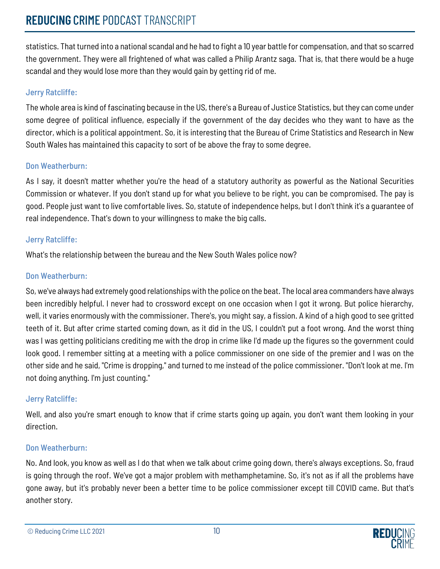statistics. That turned into a national scandal and he had to fight a 10 year battle for compensation, and that so scarred the government. They were all frightened of what was called a Philip Arantz saga. That is, that there would be a huge scandal and they would lose more than they would gain by getting rid of me.

## Jerry Ratcliffe:

The whole area is kind of fascinating because in the US, there's a Bureau of Justice Statistics, but they can come under some degree of political influence, especially if the government of the day decides who they want to have as the director, which is a political appointment. So, it is interesting that the Bureau of Crime Statistics and Research in New South Wales has maintained this capacity to sort of be above the fray to some degree.

## Don Weatherburn:

As I say, it doesn't matter whether you're the head of a statutory authority as powerful as the National Securities Commission or whatever. If you don't stand up for what you believe to be right, you can be compromised. The pay is good. People just want to live comfortable lives. So, statute of independence helps, but I don't think it's a guarantee of real independence. That's down to your willingness to make the big calls.

## Jerry Ratcliffe:

What's the relationship between the bureau and the New South Wales police now?

## Don Weatherburn:

So, we've always had extremely good relationships with the police on the beat. The local area commanders have always been incredibly helpful. I never had to crossword except on one occasion when I got it wrong. But police hierarchy, well, it varies enormously with the commissioner. There's, you might say, a fission. A kind of a high good to see gritted teeth of it. But after crime started coming down, as it did in the US, I couldn't put a foot wrong. And the worst thing was I was getting politicians crediting me with the drop in crime like I'd made up the figures so the government could look good. I remember sitting at a meeting with a police commissioner on one side of the premier and I was on the other side and he said, "Crime is dropping," and turned to me instead of the police commissioner. "Don't look at me. I'm not doing anything. I'm just counting."

## Jerry Ratcliffe:

Well, and also you're smart enough to know that if crime starts going up again, you don't want them looking in your direction.

## Don Weatherburn:

No. And look, you know as well as I do that when we talk about crime going down, there's always exceptions. So, fraud is going through the roof. We've got a major problem with methamphetamine. So, it's not as if all the problems have gone away, but it's probably never been a better time to be police commissioner except till COVID came. But that's another story.

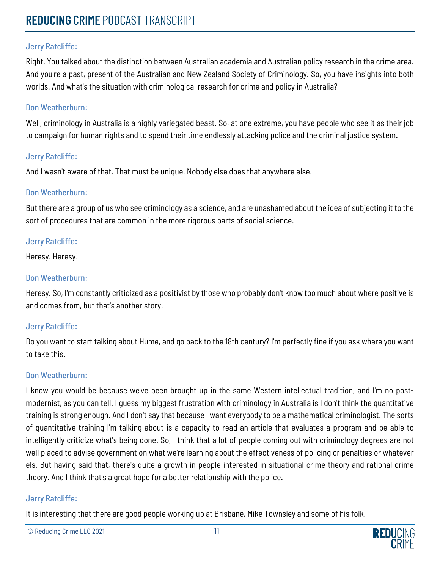Right. You talked about the distinction between Australian academia and Australian policy research in the crime area. And you're a past, present of the Australian and New Zealand Society of Criminology. So, you have insights into both worlds. And what's the situation with criminological research for crime and policy in Australia?

#### Don Weatherburn:

Well, criminology in Australia is a highly variegated beast. So, at one extreme, you have people who see it as their job to campaign for human rights and to spend their time endlessly attacking police and the criminal justice system.

#### Jerry Ratcliffe:

And I wasn't aware of that. That must be unique. Nobody else does that anywhere else.

#### Don Weatherburn:

But there are a group of us who see criminology as a science, and are unashamed about the idea of subjecting it to the sort of procedures that are common in the more rigorous parts of social science.

#### Jerry Ratcliffe:

Heresy. Heresy!

#### Don Weatherburn:

Heresy. So, I'm constantly criticized as a positivist by those who probably don't know too much about where positive is and comes from, but that's another story.

#### Jerry Ratcliffe:

Do you want to start talking about Hume, and go back to the 18th century? I'm perfectly fine if you ask where you want to take this.

#### Don Weatherburn:

I know you would be because we've been brought up in the same Western intellectual tradition, and I'm no postmodernist, as you can tell. I guess my biggest frustration with criminology in Australia is I don't think the quantitative training is strong enough. And I don't say that because I want everybody to be a mathematical criminologist. The sorts of quantitative training I'm talking about is a capacity to read an article that evaluates a program and be able to intelligently criticize what's being done. So, I think that a lot of people coming out with criminology degrees are not well placed to advise government on what we're learning about the effectiveness of policing or penalties or whatever els. But having said that, there's quite a growth in people interested in situational crime theory and rational crime theory. And I think that's a great hope for a better relationship with the police.

#### Jerry Ratcliffe:

It is interesting that there are good people working up at Brisbane, Mike Townsley and some of his folk.

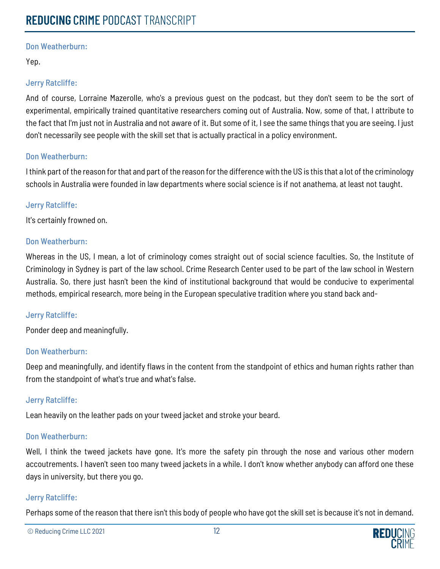Yep.

## Jerry Ratcliffe:

And of course, Lorraine Mazerolle, who's a previous guest on the podcast, but they don't seem to be the sort of experimental, empirically trained quantitative researchers coming out of Australia. Now, some of that, I attribute to the fact that I'm just not in Australia and not aware of it. But some of it, I see the same things that you are seeing. I just don't necessarily see people with the skill set that is actually practical in a policy environment.

### Don Weatherburn:

I think part of the reason for that and part of the reason for the difference with the US is this that a lot of the criminology schools in Australia were founded in law departments where social science is if not anathema, at least not taught.

### Jerry Ratcliffe:

It's certainly frowned on.

### Don Weatherburn:

Whereas in the US, I mean, a lot of criminology comes straight out of social science faculties. So, the Institute of Criminology in Sydney is part of the law school. Crime Research Center used to be part of the law school in Western Australia. So, there just hasn't been the kind of institutional background that would be conducive to experimental methods, empirical research, more being in the European speculative tradition where you stand back and-

#### Jerry Ratcliffe:

Ponder deep and meaningfully.

#### Don Weatherburn:

Deep and meaningfully, and identify flaws in the content from the standpoint of ethics and human rights rather than from the standpoint of what's true and what's false.

## Jerry Ratcliffe:

Lean heavily on the leather pads on your tweed jacket and stroke your beard.

## Don Weatherburn:

Well, I think the tweed jackets have gone. It's more the safety pin through the nose and various other modern accoutrements. I haven't seen too many tweed jackets in a while. I don't know whether anybody can afford one these days in university, but there you go.

## Jerry Ratcliffe:

Perhaps some of the reason that there isn't this body of people who have got the skill set is because it's not in demand.

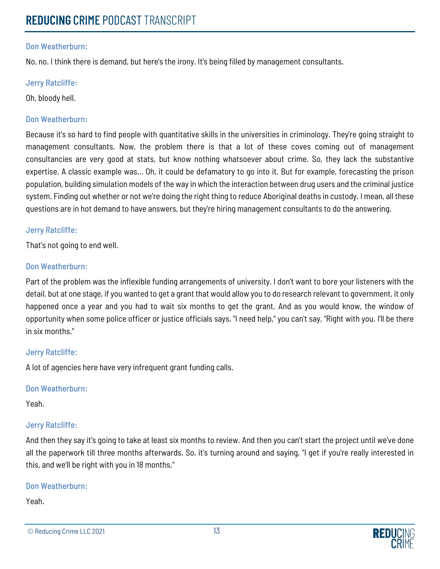No, no. I think there is demand, but here's the irony. It's being filled by management consultants.

#### Jerry Ratcliffe:

Oh, bloody hell.

#### Don Weatherburn:

Because it's so hard to find people with quantitative skills in the universities in criminology. They're going straight to management consultants. Now, the problem there is that a lot of these coves coming out of management consultancies are very good at stats, but know nothing whatsoever about crime. So, they lack the substantive expertise. A classic example was... Oh, it could be defamatory to go into it. But for example, forecasting the prison population, building simulation models of the way in which the interaction between drug users and the criminal justice system. Finding out whether or not we're doing the right thing to reduce Aboriginal deaths in custody. I mean, all these questions are in hot demand to have answers, but they're hiring management consultants to do the answering.

#### Jerry Ratcliffe:

That's not going to end well.

### Don Weatherburn:

Part of the problem was the inflexible funding arrangements of university. I don't want to bore your listeners with the detail, but at one stage, if you wanted to get a grant that would allow you to do research relevant to government, it only happened once a year and you had to wait six months to get the grant. And as you would know, the window of opportunity when some police officer or justice officials says, "I need help," you can't say, "Right with you. I'll be there in six months."

#### Jerry Ratcliffe:

A lot of agencies here have very infrequent grant funding calls.

#### Don Weatherburn:

Yeah.

## Jerry Ratcliffe:

And then they say it's going to take at least six months to review. And then you can't start the project until we've done all the paperwork till three months afterwards. So, it's turning around and saying, "I get if you're really interested in this, and we'll be right with you in 18 months."

## Don Weatherburn:

#### Yeah.

<sup>©</sup> Reducing Crime LLC 2021 13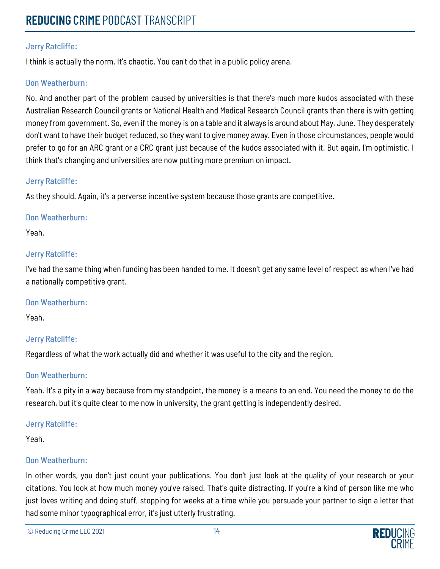I think is actually the norm. It's chaotic. You can't do that in a public policy arena.

#### Don Weatherburn:

No. And another part of the problem caused by universities is that there's much more kudos associated with these Australian Research Council grants or National Health and Medical Research Council grants than there is with getting money from government. So, even if the money is on a table and it always is around about May, June. They desperately don't want to have their budget reduced, so they want to give money away. Even in those circumstances, people would prefer to go for an ARC grant or a CRC grant just because of the kudos associated with it. But again, I'm optimistic. I think that's changing and universities are now putting more premium on impact.

#### Jerry Ratcliffe:

As they should. Again, it's a perverse incentive system because those grants are competitive.

#### Don Weatherburn:

Yeah.

#### Jerry Ratcliffe:

I've had the same thing when funding has been handed to me. It doesn't get any same level of respect as when I've had a nationally competitive grant.

#### Don Weatherburn:

Yeah.

#### Jerry Ratcliffe:

Regardless of what the work actually did and whether it was useful to the city and the region.

#### Don Weatherburn:

Yeah. It's a pity in a way because from my standpoint, the money is a means to an end. You need the money to do the research, but it's quite clear to me now in university, the grant getting is independently desired.

#### Jerry Ratcliffe:

Yeah.

#### Don Weatherburn:

In other words, you don't just count your publications. You don't just look at the quality of your research or your citations. You look at how much money you've raised. That's quite distracting. If you're a kind of person like me who just loves writing and doing stuff, stopping for weeks at a time while you persuade your partner to sign a letter that had some minor typographical error, it's just utterly frustrating.

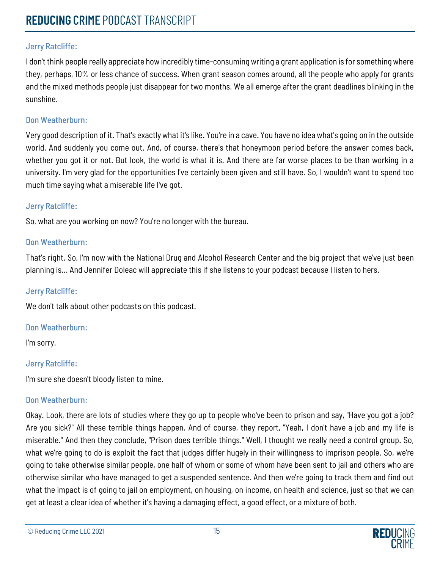I don't think people really appreciate how incredibly time-consuming writing a grant application is for something where they, perhaps, 10% or less chance of success. When grant season comes around, all the people who apply for grants and the mixed methods people just disappear for two months. We all emerge after the grant deadlines blinking in the sunshine.

## Don Weatherburn:

Very good description of it. That's exactly what it's like. You're in a cave. You have no idea what's going on in the outside world. And suddenly you come out. And, of course, there's that honeymoon period before the answer comes back, whether you got it or not. But look, the world is what it is. And there are far worse places to be than working in a university. I'm very glad for the opportunities I've certainly been given and still have. So, I wouldn't want to spend too much time saying what a miserable life I've got.

### Jerry Ratcliffe:

So, what are you working on now? You're no longer with the bureau.

### Don Weatherburn:

That's right. So, I'm now with the National Drug and Alcohol Research Center and the big project that we've just been planning is... And Jennifer Doleac will appreciate this if she listens to your podcast because I listen to hers.

#### Jerry Ratcliffe:

We don't talk about other podcasts on this podcast.

#### Don Weatherburn:

I'm sorry.

## Jerry Ratcliffe:

I'm sure she doesn't bloody listen to mine.

## Don Weatherburn:

Okay. Look, there are lots of studies where they go up to people who've been to prison and say, "Have you got a job? Are you sick?" All these terrible things happen. And of course, they report, "Yeah, I don't have a job and my life is miserable." And then they conclude, "Prison does terrible things." Well, I thought we really need a control group. So, what we're going to do is exploit the fact that judges differ hugely in their willingness to imprison people. So, we're going to take otherwise similar people, one half of whom or some of whom have been sent to jail and others who are otherwise similar who have managed to get a suspended sentence. And then we're going to track them and find out what the impact is of going to jail on employment, on housing, on income, on health and science, just so that we can get at least a clear idea of whether it's having a damaging effect, a good effect, or a mixture of both.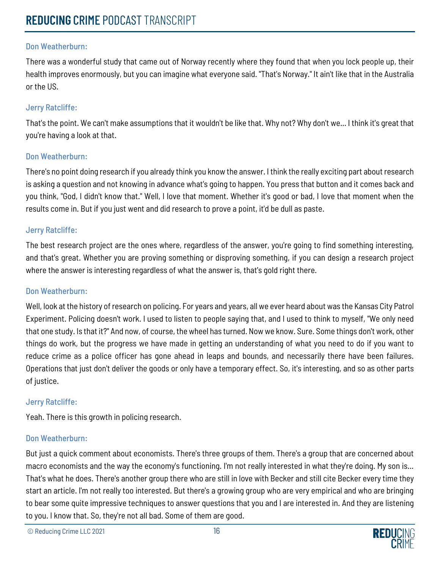There was a wonderful study that came out of Norway recently where they found that when you lock people up, their health improves enormously, but you can imagine what everyone said. "That's Norway." It ain't like that in the Australia or the US.

#### Jerry Ratcliffe:

That's the point. We can't make assumptions that it wouldn't be like that. Why not? Why don't we... I think it's great that you're having a look at that.

#### Don Weatherburn:

There's no point doing research if you already think you know the answer. I think the really exciting part about research is asking a question and not knowing in advance what's going to happen. You press that button and it comes back and you think, "God, I didn't know that." Well, I love that moment. Whether it's good or bad, I love that moment when the results come in. But if you just went and did research to prove a point, it'd be dull as paste.

#### Jerry Ratcliffe:

The best research project are the ones where, regardless of the answer, you're going to find something interesting, and that's great. Whether you are proving something or disproving something, if you can design a research project where the answer is interesting regardless of what the answer is, that's gold right there.

#### Don Weatherburn:

Well, look at the history of research on policing. For years and years, all we ever heard about was the Kansas City Patrol Experiment. Policing doesn't work. I used to listen to people saying that, and I used to think to myself, "We only need that one study. Is that it?" And now, of course, the wheel has turned. Now we know. Sure. Some things don't work, other things do work, but the progress we have made in getting an understanding of what you need to do if you want to reduce crime as a police officer has gone ahead in leaps and bounds, and necessarily there have been failures. Operations that just don't deliver the goods or only have a temporary effect. So, it's interesting, and so as other parts of justice.

#### Jerry Ratcliffe:

Yeah. There is this growth in policing research.

#### Don Weatherburn:

But just a quick comment about economists. There's three groups of them. There's a group that are concerned about macro economists and the way the economy's functioning. I'm not really interested in what they're doing. My son is... That's what he does. There's another group there who are still in love with Becker and still cite Becker every time they start an article. I'm not really too interested. But there's a growing group who are very empirical and who are bringing to bear some quite impressive techniques to answer questions that you and I are interested in. And they are listening to you. I know that. So, they're not all bad. Some of them are good.

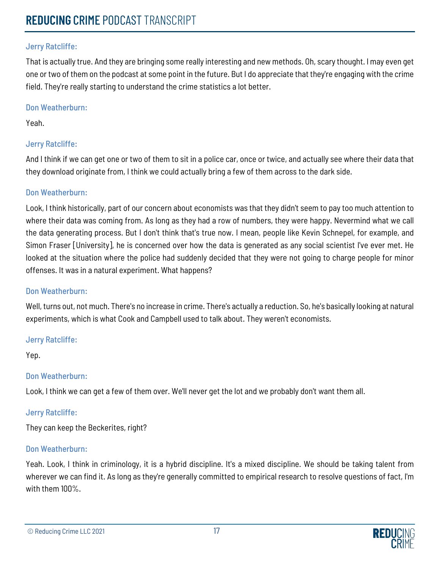That is actually true. And they are bringing some really interesting and new methods. Oh, scary thought. I may even get one or two of them on the podcast at some point in the future. But I do appreciate that they're engaging with the crime field. They're really starting to understand the crime statistics a lot better.

#### Don Weatherburn:

Yeah.

## Jerry Ratcliffe:

And I think if we can get one or two of them to sit in a police car, once or twice, and actually see where their data that they download originate from, I think we could actually bring a few of them across to the dark side.

## Don Weatherburn:

Look, I think historically, part of our concern about economists was that they didn't seem to pay too much attention to where their data was coming from. As long as they had a row of numbers, they were happy. Nevermind what we call the data generating process. But I don't think that's true now. I mean, people like Kevin Schnepel, for example, and Simon Fraser [University], he is concerned over how the data is generated as any social scientist I've ever met. He looked at the situation where the police had suddenly decided that they were not going to charge people for minor offenses. It was in a natural experiment. What happens?

## Don Weatherburn:

Well, turns out, not much. There's no increase in crime. There's actually a reduction. So, he's basically looking at natural experiments, which is what Cook and Campbell used to talk about. They weren't economists.

## Jerry Ratcliffe:

Yep.

## Don Weatherburn:

Look, I think we can get a few of them over. We'll never get the lot and we probably don't want them all.

## Jerry Ratcliffe:

They can keep the Beckerites, right?

## Don Weatherburn:

Yeah. Look, I think in criminology, it is a hybrid discipline. It's a mixed discipline. We should be taking talent from wherever we can find it. As long as they're generally committed to empirical research to resolve questions of fact, I'm with them 100%.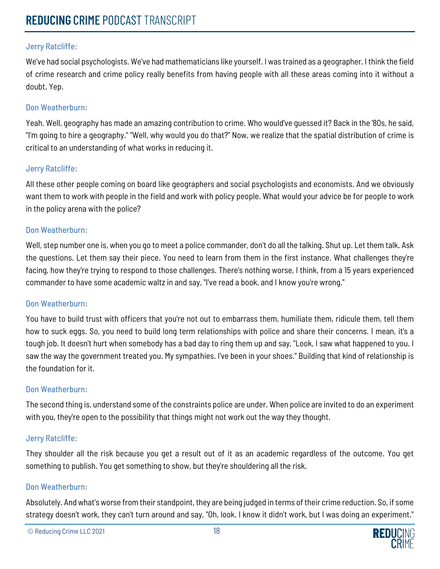We've had social psychologists. We've had mathematicians like yourself. I was trained as a geographer. I think the field of crime research and crime policy really benefits from having people with all these areas coming into it without a doubt. Yep.

### Don Weatherburn:

Yeah. Well, geography has made an amazing contribution to crime. Who would've guessed it? Back in the '80s, he said, "I'm going to hire a geography." "Well, why would you do that?" Now, we realize that the spatial distribution of crime is critical to an understanding of what works in reducing it.

### Jerry Ratcliffe:

All these other people coming on board like geographers and social psychologists and economists. And we obviously want them to work with people in the field and work with policy people. What would your advice be for people to work in the policy arena with the police?

### Don Weatherburn:

Well, step number one is, when you go to meet a police commander, don't do all the talking. Shut up. Let them talk. Ask the questions. Let them say their piece. You need to learn from them in the first instance. What challenges they're facing, how they're trying to respond to those challenges. There's nothing worse, I think, from a 15 years experienced commander to have some academic waltz in and say, "I've read a book, and I know you're wrong."

#### Don Weatherburn:

You have to build trust with officers that you're not out to embarrass them, humiliate them, ridicule them, tell them how to suck eggs. So, you need to build long term relationships with police and share their concerns. I mean, it's a tough job. It doesn't hurt when somebody has a bad day to ring them up and say, "Look, I saw what happened to you. I saw the way the government treated you. My sympathies. I've been in your shoes." Building that kind of relationship is the foundation for it.

## Don Weatherburn:

The second thing is, understand some of the constraints police are under. When police are invited to do an experiment with you, they're open to the possibility that things might not work out the way they thought.

#### Jerry Ratcliffe:

They shoulder all the risk because you get a result out of it as an academic regardless of the outcome. You get something to publish. You get something to show, but they're shouldering all the risk.

#### Don Weatherburn:

Absolutely. And what's worse from their standpoint, they are being judged in terms of their crime reduction. So, if some strategy doesn't work, they can't turn around and say, "Oh, look. I know it didn't work, but I was doing an experiment."

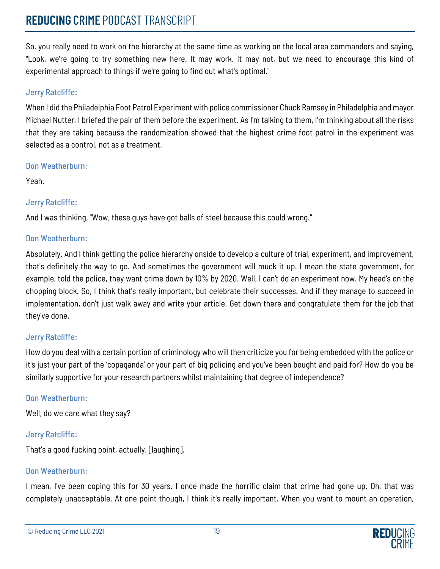## **REDUCING** CRIME PODCAST TRANSCRIPT

So, you really need to work on the hierarchy at the same time as working on the local area commanders and saying, "Look, we're going to try something new here. It may work. It may not, but we need to encourage this kind of experimental approach to things if we're going to find out what's optimal."

## Jerry Ratcliffe:

When I did the Philadelphia Foot Patrol Experiment with police commissioner Chuck Ramsey in Philadelphia and mayor Michael Nutter, I briefed the pair of them before the experiment. As I'm talking to them, I'm thinking about all the risks that they are taking because the randomization showed that the highest crime foot patrol in the experiment was selected as a control, not as a treatment.

#### Don Weatherburn:

Yeah.

## Jerry Ratcliffe:

And I was thinking, "Wow, these guys have got balls of steel because this could wrong."

### Don Weatherburn:

Absolutely. And I think getting the police hierarchy onside to develop a culture of trial, experiment, and improvement, that's definitely the way to go. And sometimes the government will muck it up. I mean the state government, for example, told the police, they want crime down by 10% by 2020. Well, I can't do an experiment now. My head's on the chopping block. So, I think that's really important, but celebrate their successes. And if they manage to succeed in implementation, don't just walk away and write your article. Get down there and congratulate them for the job that they've done.

## Jerry Ratcliffe:

How do you deal with a certain portion of criminology who will then criticize you for being embedded with the police or it's just your part of the 'copaganda' or your part of big policing and you've been bought and paid for? How do you be similarly supportive for your research partners whilst maintaining that degree of independence?

## Don Weatherburn:

Well, do we care what they say?

## Jerry Ratcliffe:

That's a good fucking point, actually. [laughing].

## Don Weatherburn:

I mean, I've been coping this for 30 years. I once made the horrific claim that crime had gone up. Oh, that was completely unacceptable. At one point though, I think it's really important. When you want to mount an operation,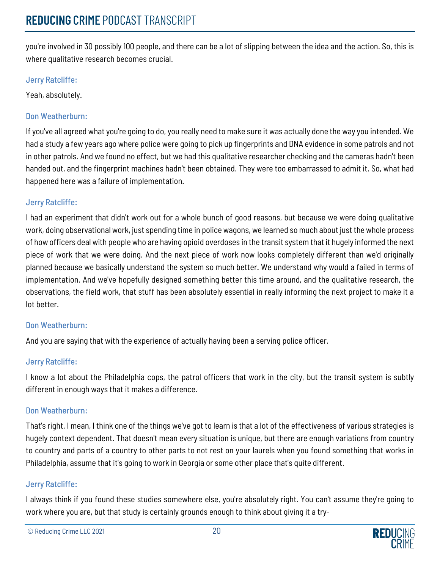you're involved in 30 possibly 100 people, and there can be a lot of slipping between the idea and the action. So, this is where qualitative research becomes crucial.

## Jerry Ratcliffe:

Yeah, absolutely.

## Don Weatherburn:

If you've all agreed what you're going to do, you really need to make sure it was actually done the way you intended. We had a study a few years ago where police were going to pick up fingerprints and DNA evidence in some patrols and not in other patrols. And we found no effect, but we had this qualitative researcher checking and the cameras hadn't been handed out, and the fingerprint machines hadn't been obtained. They were too embarrassed to admit it. So, what had happened here was a failure of implementation.

### Jerry Ratcliffe:

I had an experiment that didn't work out for a whole bunch of good reasons, but because we were doing qualitative work, doing observational work, just spending time in police wagons, we learned so much about just the whole process of how officers deal with people who are having opioid overdoses in the transit system that it hugely informed the next piece of work that we were doing. And the next piece of work now looks completely different than we'd originally planned because we basically understand the system so much better. We understand why would a failed in terms of implementation. And we've hopefully designed something better this time around, and the qualitative research, the observations, the field work, that stuff has been absolutely essential in really informing the next project to make it a lot better.

## Don Weatherburn:

And you are saying that with the experience of actually having been a serving police officer.

## Jerry Ratcliffe:

I know a lot about the Philadelphia cops, the patrol officers that work in the city, but the transit system is subtly different in enough ways that it makes a difference.

#### Don Weatherburn:

That's right. I mean, I think one of the things we've got to learn is that a lot of the effectiveness of various strategies is hugely context dependent. That doesn't mean every situation is unique, but there are enough variations from country to country and parts of a country to other parts to not rest on your laurels when you found something that works in Philadelphia, assume that it's going to work in Georgia or some other place that's quite different.

## Jerry Ratcliffe:

I always think if you found these studies somewhere else, you're absolutely right. You can't assume they're going to work where you are, but that study is certainly grounds enough to think about giving it a try-